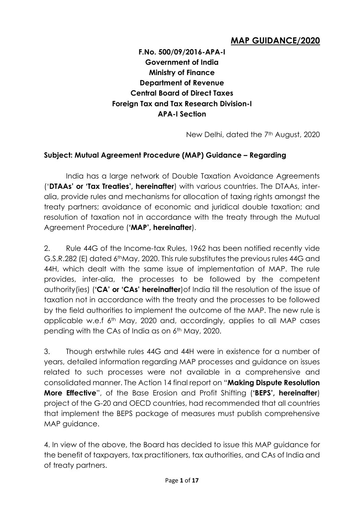# **MAP GUIDANCE/2020**

**F.No. 500/09/2016-APA-I Government of India Ministry of Finance Department of Revenue Central Board of Direct Taxes Foreign Tax and Tax Research Division-I APA-I Section**

New Delhi, dated the 7<sup>th</sup> August, 2020

#### **Subject: Mutual Agreement Procedure (MAP) Guidance – Regarding**

India has a large network of Double Taxation Avoidance Agreements ('**DTAAs' or 'Tax Treaties', hereinafter**) with various countries. The DTAAs, interalia, provide rules and mechanisms for allocation of taxing rights amongst the treaty partners; avoidance of economic and juridical double taxation; and resolution of taxation not in accordance with the treaty through the Mutual Agreement Procedure (**'MAP', hereinafter**).

2. Rule 44G of the Income-tax Rules, 1962 has been notified recently vide G.S.R.282 (E) dated 6thMay, 2020. This rule substitutes the previous rules 44G and 44H, which dealt with the same issue of implementation of MAP. The rule provides, inter-alia, the processes to be followed by the competent authority(ies) (**'CA' or 'CAs' hereinafter**)of India till the resolution of the issue of taxation not in accordance with the treaty and the processes to be followed by the field authorities to implement the outcome of the MAP. The new rule is applicable w.e.f 6th May, 2020 and, accordingly, applies to all MAP cases pending with the CAs of India as on 6<sup>th</sup> May, 2020.

3. Though erstwhile rules 44G and 44H were in existence for a number of years, detailed information regarding MAP processes and guidance on issues related to such processes were not available in a comprehensive and consolidated manner. The Action 14 final report on "**Making Dispute Resolution More Effective**", of the Base Erosion and Profit Shifting (**'BEPS', hereinafter**) project of the G-20 and OECD countries, had recommended that all countries that implement the BEPS package of measures must publish comprehensive MAP guidance.

4. In view of the above, the Board has decided to issue this MAP guidance for the benefit of taxpayers, tax practitioners, tax authorities, and CAs of India and of treaty partners.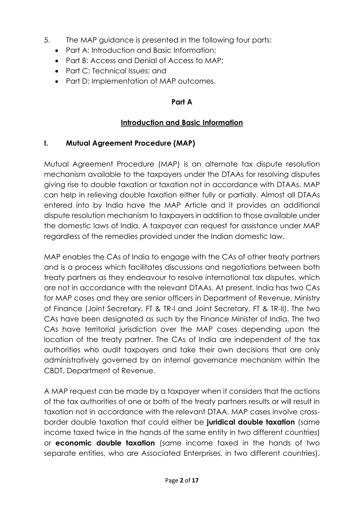- 5. The MAP guidance is presented in the following four parts:
	- Part A: Introduction and Basic Information;
	- Part B: Access and Denial of Access to MAP;
	- Part C: Technical Issues: and
	- Part D: Implementation of MAP outcomes.

### **Part A**

# **Introduction and Basic Information**

### **I. Mutual Agreement Procedure (MAP)**

Mutual Agreement Procedure (MAP) is an alternate tax dispute resolution mechanism available to the taxpayers under the DTAAs for resolving disputes giving rise to double taxation or taxation not in accordance with DTAAs. MAP can help in relieving double taxation either fully or partially. Almost all DTAAs entered into by India have the MAP Article and it provides an additional dispute resolution mechanism to taxpayers in addition to those available under the domestic laws of India. A taxpayer can request for assistance under MAP regardless of the remedies provided under the Indian domestic law.

MAP enables the CAs of India to engage with the CAs of other treaty partners and is a process which facilitates discussions and negotiations between both treaty partners as they endeavour to resolve international tax disputes, which are not in accordance with the relevant DTAAs. At present, India has two CAs for MAP cases and they are senior officers in Department of Revenue, Ministry of Finance (Joint Secretary, FT & TR-I and Joint Secretary, FT & TR-II). The two CAs have been designated as such by the Finance Minister of India. The two CAs have territorial jurisdiction over the MAP cases depending upon the location of the treaty partner. The CAs of India are independent of the tax authorities who audit taxpayers and take their own decisions that are only administratively governed by an internal governance mechanism within the CBDT, Department of Revenue.

A MAP request can be made by a taxpayer when it considers that the actions of the tax authorities of one or both of the treaty partners results or will result in taxation not in accordance with the relevant DTAA. MAP cases involve crossborder double taxation that could either be **juridical double taxation** (same income taxed twice in the hands of the same entity in two different countries) or **economic double taxation** (same income taxed in the hands of two separate entities, who are Associated Enterprises, in two different countries).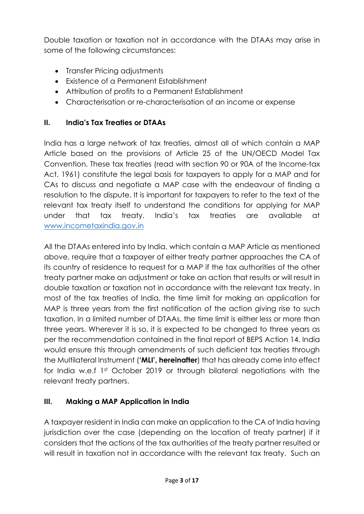Double taxation or taxation not in accordance with the DTAAs may arise in some of the following circumstances:

- Transfer Pricing adjustments
- Existence of a Permanent Establishment
- Attribution of profits to a Permanent Establishment
- Characterisation or re-characterisation of an income or expense

## **II. India's Tax Treaties or DTAAs**

India has a large network of tax treaties, almost all of which contain a MAP Article based on the provisions of Article 25 of the UN/OECD Model Tax Convention. These tax treaties (read with section 90 or 90A of the Income-tax Act, 1961) constitute the legal basis for taxpayers to apply for a MAP and for CAs to discuss and negotiate a MAP case with the endeavour of finding a resolution to the dispute. It is important for taxpayers to refer to the text of the relevant tax treaty itself to understand the conditions for applying for MAP under that tax treaty. India's tax treaties are available at [www.incometaxindia.gov.in](http://www.incometaxindia.gov.in/)

All the DTAAs entered into by India, which contain a MAP Article as mentioned above, require that a taxpayer of either treaty partner approaches the CA of its country of residence to request for a MAP if the tax authorities of the other treaty partner make an adjustment or take an action that results or will result in double taxation or taxation not in accordance with the relevant tax treaty. In most of the tax treaties of India, the time limit for making an application for MAP is three years from the first notification of the action giving rise to such taxation. In a limited number of DTAAs, the time limit is either less or more than three years. Wherever it is so, it is expected to be changed to three years as per the recommendation contained in the final report of BEPS Action 14. India would ensure this through amendments of such deficient tax treaties through the Multilateral Instrument (**'MLI', hereinafter**) that has already come into effect for India w.e.f 1st October 2019 or through bilateral negotiations with the relevant treaty partners.

## **III. Making a MAP Application in India**

A taxpayer resident in India can make an application to the CA of India having jurisdiction over the case (depending on the location of treaty partner) if it considers that the actions of the tax authorities of the treaty partner resulted or will result in taxation not in accordance with the relevant tax treaty. Such an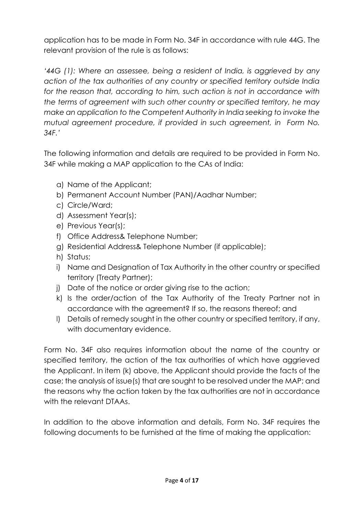application has to be made in Form No. 34F in accordance with rule 44G. The relevant provision of the rule is as follows:

*'44G (1): Where an assessee, being a resident of India, is aggrieved by any action of the tax authorities of any country or specified territory outside India*  for the reason that, according to him, such action is not in accordance with *the terms of agreement with such other country or specified territory, he may make an application to the Competent Authority in India seeking to invoke the mutual agreement procedure, if provided in such agreement, in Form No. 34F.'*

The following information and details are required to be provided in Form No. 34F while making a MAP application to the CAs of India:

- a) Name of the Applicant;
- b) Permanent Account Number (PAN)/Aadhar Number;
- c) Circle/Ward;
- d) Assessment Year(s);
- e) Previous Year(s);
- f) Office Address& Telephone Number;
- g) Residential Address& Telephone Number (if applicable);
- h) Status;
- i) Name and Designation of Tax Authority in the other country or specified territory (Treaty Partner);
- j) Date of the notice or order giving rise to the action;
- k) Is the order/action of the Tax Authority of the Treaty Partner not in accordance with the agreement? If so, the reasons thereof; and
- l) Details of remedy sought in the other country or specified territory, if any, with documentary evidence.

Form No. 34F also requires information about the name of the country or specified territory, the action of the tax authorities of which have aggrieved the Applicant. In item (k) above, the Applicant should provide the facts of the case; the analysis of issue(s) that are sought to be resolved under the MAP; and the reasons why the action taken by the tax authorities are not in accordance with the relevant DTAAs.

In addition to the above information and details, Form No. 34F requires the following documents to be furnished at the time of making the application: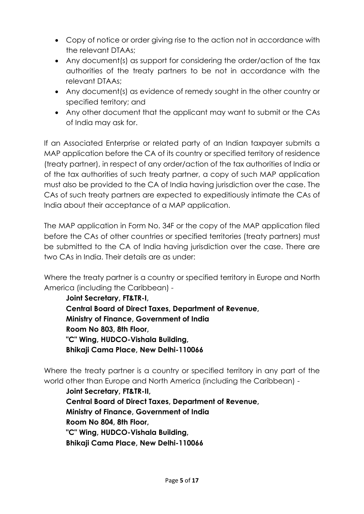- Copy of notice or order giving rise to the action not in accordance with the relevant DTAAs;
- Any document(s) as support for considering the order/action of the tax authorities of the treaty partners to be not in accordance with the relevant DTAAs;
- Any document(s) as evidence of remedy sought in the other country or specified territory; and
- Any other document that the applicant may want to submit or the CAs of India may ask for.

If an Associated Enterprise or related party of an Indian taxpayer submits a MAP application before the CA of its country or specified territory of residence (treaty partner), in respect of any order/action of the tax authorities of India or of the tax authorities of such treaty partner, a copy of such MAP application must also be provided to the CA of India having jurisdiction over the case. The CAs of such treaty partners are expected to expeditiously intimate the CAs of India about their acceptance of a MAP application.

The MAP application in Form No. 34F or the copy of the MAP application filed before the CAs of other countries or specified territories (treaty partners) must be submitted to the CA of India having jurisdiction over the case. There are two CAs in India. Their details are as under:

Where the treaty partner is a country or specified territory in Europe and North America (including the Caribbean) -

**Joint Secretary, FT&TR-I, Central Board of Direct Taxes, Department of Revenue, Ministry of Finance, Government of India Room No 803, 8th Floor, "C" Wing, HUDCO-Vishala Building, Bhikaji Cama Place, New Delhi-110066**

Where the treaty partner is a country or specified territory in any part of the world other than Europe and North America (including the Caribbean) -

**Joint Secretary, FT&TR-II, Central Board of Direct Taxes, Department of Revenue, Ministry of Finance, Government of India Room No 804, 8th Floor, "C" Wing, HUDCO-Vishala Building, Bhikaji Cama Place, New Delhi-110066**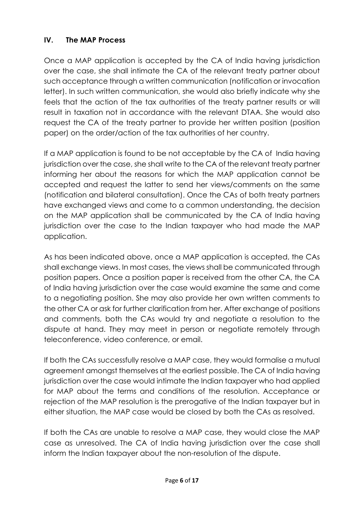## **IV. The MAP Process**

Once a MAP application is accepted by the CA of India having jurisdiction over the case, she shall intimate the CA of the relevant treaty partner about such acceptance through a written communication (notification or invocation letter). In such written communication, she would also briefly indicate why she feels that the action of the tax authorities of the treaty partner results or will result in taxation not in accordance with the relevant DTAA. She would also request the CA of the treaty partner to provide her written position (position paper) on the order/action of the tax authorities of her country.

If a MAP application is found to be not acceptable by the CA of India having jurisdiction over the case, she shall write to the CA of the relevant treaty partner informing her about the reasons for which the MAP application cannot be accepted and request the latter to send her views/comments on the same (notification and bilateral consultation). Once the CAs of both treaty partners have exchanged views and come to a common understanding, the decision on the MAP application shall be communicated by the CA of India having jurisdiction over the case to the Indian taxpayer who had made the MAP application.

As has been indicated above, once a MAP application is accepted, the CAs shall exchange views. In most cases, the views shall be communicated through position papers. Once a position paper is received from the other CA, the CA of India having jurisdiction over the case would examine the same and come to a negotiating position. She may also provide her own written comments to the other CA or ask for further clarification from her. After exchange of positions and comments, both the CAs would try and negotiate a resolution to the dispute at hand. They may meet in person or negotiate remotely through teleconference, video conference, or email.

If both the CAs successfully resolve a MAP case, they would formalise a mutual agreement amongst themselves at the earliest possible. The CA of India having jurisdiction over the case would intimate the Indian taxpayer who had applied for MAP about the terms and conditions of the resolution. Acceptance or rejection of the MAP resolution is the prerogative of the Indian taxpayer but in either situation, the MAP case would be closed by both the CAs as resolved.

If both the CAs are unable to resolve a MAP case, they would close the MAP case as unresolved. The CA of India having jurisdiction over the case shall inform the Indian taxpayer about the non-resolution of the dispute.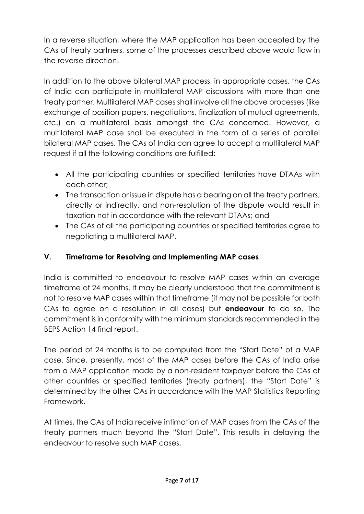In a reverse situation, where the MAP application has been accepted by the CAs of treaty partners, some of the processes described above would flow in the reverse direction.

In addition to the above bilateral MAP process, in appropriate cases, the CAs of India can participate in multilateral MAP discussions with more than one treaty partner. Multilateral MAP cases shall involve all the above processes (like exchange of position papers, negotiations, finalization of mutual agreements, etc.) on a multilateral basis amongst the CAs concerned. However, a multilateral MAP case shall be executed in the form of a series of parallel bilateral MAP cases. The CAs of India can agree to accept a multilateral MAP request if all the following conditions are fulfilled:

- All the participating countries or specified territories have DTAAs with each other;
- The transaction or issue in dispute has a bearing on all the treaty partners, directly or indirectly, and non-resolution of the dispute would result in taxation not in accordance with the relevant DTAAs; and
- The CAs of all the participating countries or specified territories agree to negotiating a multilateral MAP.

# **V. Timeframe for Resolving and Implementing MAP cases**

India is committed to endeavour to resolve MAP cases within an average timeframe of 24 months. It may be clearly understood that the commitment is not to resolve MAP cases within that timeframe (it may not be possible for both CAs to agree on a resolution in all cases) but **endeavour** to do so. The commitment is in conformity with the minimum standards recommended in the BEPS Action 14 final report.

The period of 24 months is to be computed from the "Start Date" of a MAP case. Since, presently, most of the MAP cases before the CAs of India arise from a MAP application made by a non-resident taxpayer before the CAs of other countries or specified territories (treaty partners), the "Start Date" is determined by the other CAs in accordance with the MAP Statistics Reporting Framework.

At times, the CAs of India receive intimation of MAP cases from the CAs of the treaty partners much beyond the "Start Date". This results in delaying the endeavour to resolve such MAP cases.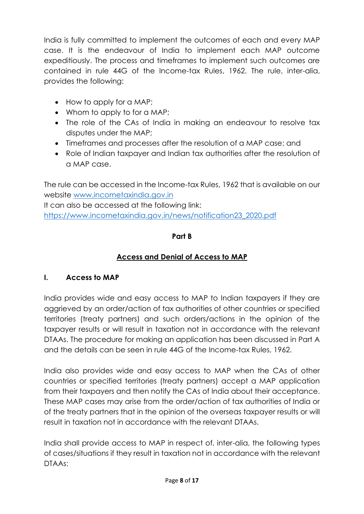India is fully committed to implement the outcomes of each and every MAP case. It is the endeavour of India to implement each MAP outcome expeditiously. The process and timeframes to implement such outcomes are contained in rule 44G of the Income-tax Rules, 1962. The rule, inter-alia, provides the following:

- How to apply for a MAP;
- Whom to apply to for a MAP;
- The role of the CAs of India in making an endeavour to resolve tax disputes under the MAP;
- Timeframes and processes after the resolution of a MAP case; and
- Role of Indian taxpayer and Indian tax authorities after the resolution of a MAP case.

The rule can be accessed in the Income-tax Rules, 1962 that is available on our website [www.incometaxindia.gov.in](http://www.incometaxindia.gov.in/)

It can also be accessed at the following link: [https://www.incometaxindia.gov.in/news/notification23\\_2020.pdf](https://www.incometaxindia.gov.in/news/notification23_2020.pdf)

### **Part B**

# **Access and Denial of Access to MAP**

## **I. Access to MAP**

India provides wide and easy access to MAP to Indian taxpayers if they are aggrieved by an order/action of tax authorities of other countries or specified territories (treaty partners) and such orders/actions in the opinion of the taxpayer results or will result in taxation not in accordance with the relevant DTAAs. The procedure for making an application has been discussed in Part A and the details can be seen in rule 44G of the Income-tax Rules, 1962.

India also provides wide and easy access to MAP when the CAs of other countries or specified territories (treaty partners) accept a MAP application from their taxpayers and then notify the CAs of India about their acceptance. These MAP cases may arise from the order/action of tax authorities of India or of the treaty partners that in the opinion of the overseas taxpayer results or will result in taxation not in accordance with the relevant DTAAs.

India shall provide access to MAP in respect of, inter-alia, the following types of cases/situations if they result in taxation not in accordance with the relevant DTAAs: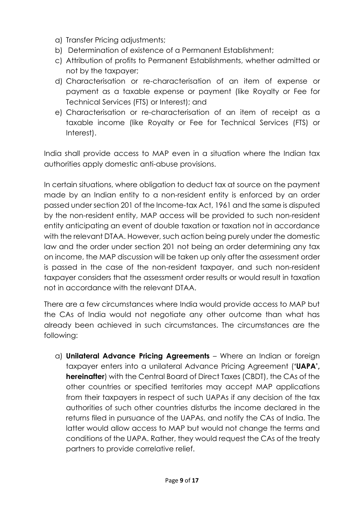- a) Transfer Pricing adjustments;
- b) Determination of existence of a Permanent Establishment;
- c) Attribution of profits to Permanent Establishments, whether admitted or not by the taxpayer;
- d) Characterisation or re-characterisation of an item of expense or payment as a taxable expense or payment (like Royalty or Fee for Technical Services (FTS) or Interest); and
- e) Characterisation or re-characterisation of an item of receipt as a taxable income (like Royalty or Fee for Technical Services (FTS) or Interest).

India shall provide access to MAP even in a situation where the Indian tax authorities apply domestic anti-abuse provisions.

In certain situations, where obligation to deduct tax at source on the payment made by an Indian entity to a non-resident entity is enforced by an order passed under section 201 of the Income-tax Act, 1961 and the same is disputed by the non-resident entity, MAP access will be provided to such non-resident entity anticipating an event of double taxation or taxation not in accordance with the relevant DTAA. However, such action being purely under the domestic law and the order under section 201 not being an order determining any tax on income, the MAP discussion will be taken up only after the assessment order is passed in the case of the non-resident taxpayer, and such non-resident taxpayer considers that the assessment order results or would result in taxation not in accordance with the relevant DTAA.

There are a few circumstances where India would provide access to MAP but the CAs of India would not negotiate any other outcome than what has already been achieved in such circumstances. The circumstances are the following:

a) **Unilateral Advance Pricing Agreements** – Where an Indian or foreign taxpayer enters into a unilateral Advance Pricing Agreement (**'UAPA', hereinafter**) with the Central Board of Direct Taxes (CBDT), the CAs of the other countries or specified territories may accept MAP applications from their taxpayers in respect of such UAPAs if any decision of the tax authorities of such other countries disturbs the income declared in the returns filed in pursuance of the UAPAs, and notify the CAs of India. The latter would allow access to MAP but would not change the terms and conditions of the UAPA. Rather, they would request the CAs of the treaty partners to provide correlative relief.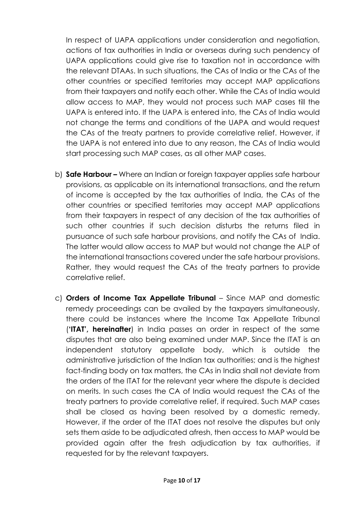In respect of UAPA applications under consideration and negotiation, actions of tax authorities in India or overseas during such pendency of UAPA applications could give rise to taxation not in accordance with the relevant DTAAs. In such situations, the CAs of India or the CAs of the other countries or specified territories may accept MAP applications from their taxpayers and notify each other. While the CAs of India would allow access to MAP, they would not process such MAP cases till the UAPA is entered into. If the UAPA is entered into, the CAs of India would not change the terms and conditions of the UAPA and would request the CAs of the treaty partners to provide correlative relief. However, if the UAPA is not entered into due to any reason, the CAs of India would start processing such MAP cases, as all other MAP cases.

- b) **Safe Harbour –** Where an Indian or foreign taxpayer applies safe harbour provisions, as applicable on its international transactions, and the return of income is accepted by the tax authorities of India, the CAs of the other countries or specified territories may accept MAP applications from their taxpayers in respect of any decision of the tax authorities of such other countries if such decision disturbs the returns filed in pursuance of such safe harbour provisions, and notify the CAs of India. The latter would allow access to MAP but would not change the ALP of the international transactions covered under the safe harbour provisions. Rather, they would request the CAs of the treaty partners to provide correlative relief.
- c) **Orders of Income Tax Appellate Tribunal** Since MAP and domestic remedy proceedings can be availed by the taxpayers simultaneously, there could be instances where the Income Tax Appellate Tribunal (**'ITAT', hereinafter**) in India passes an order in respect of the same disputes that are also being examined under MAP. Since the ITAT is an independent statutory appellate body, which is outside the administrative jurisdiction of the Indian tax authorities; and is the highest fact-finding body on tax matters, the CAs in India shall not deviate from the orders of the ITAT for the relevant year where the dispute is decided on merits. In such cases the CA of India would request the CAs of the treaty partners to provide correlative relief, if required. Such MAP cases shall be closed as having been resolved by a domestic remedy. However, if the order of the ITAT does not resolve the disputes but only sets them aside to be adjudicated afresh, then access to MAP would be provided again after the fresh adjudication by tax authorities, if requested for by the relevant taxpayers.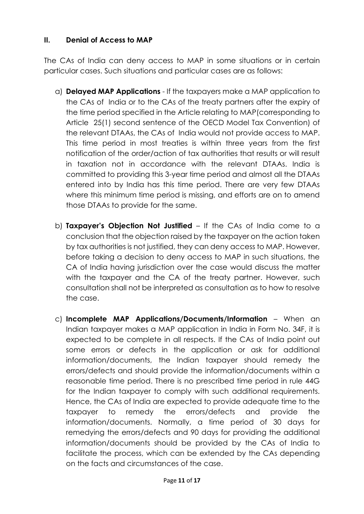### **II. Denial of Access to MAP**

The CAs of India can deny access to MAP in some situations or in certain particular cases. Such situations and particular cases are as follows:

- a) **Delayed MAP Applications** If the taxpayers make a MAP application to the CAs of India or to the CAs of the treaty partners after the expiry of the time period specified in the Article relating to MAP(corresponding to Article 25(1) second sentence of the OECD Model Tax Convention) of the relevant DTAAs, the CAs of India would not provide access to MAP. This time period in most treaties is within three years from the first notification of the order/action of tax authorities that results or will result in taxation not in accordance with the relevant DTAAs. India is committed to providing this 3-year time period and almost all the DTAAs entered into by India has this time period. There are very few DTAAs where this minimum time period is missing, and efforts are on to amend those DTAAs to provide for the same.
- b) **Taxpayer's Objection Not Justified** If the CAs of India come to a conclusion that the objection raised by the taxpayer on the action taken by tax authorities is not justified, they can deny access to MAP. However, before taking a decision to deny access to MAP in such situations, the CA of India having jurisdiction over the case would discuss the matter with the taxpayer and the CA of the treaty partner. However, such consultation shall not be interpreted as consultation as to how to resolve the case.
- c) **Incomplete MAP Applications/Documents/Information** When an Indian taxpayer makes a MAP application in India in Form No. 34F, it is expected to be complete in all respects. If the CAs of India point out some errors or defects in the application or ask for additional information/documents, the Indian taxpayer should remedy the errors/defects and should provide the information/documents within a reasonable time period. There is no prescribed time period in rule 44G for the Indian taxpayer to comply with such additional requirements. Hence, the CAs of India are expected to provide adequate time to the taxpayer to remedy the errors/defects and provide the information/documents. Normally, a time period of 30 days for remedying the errors/defects and 90 days for providing the additional information/documents should be provided by the CAs of India to facilitate the process, which can be extended by the CAs depending on the facts and circumstances of the case.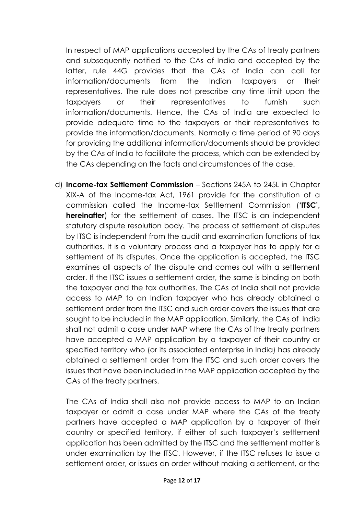In respect of MAP applications accepted by the CAs of treaty partners and subsequently notified to the CAs of India and accepted by the latter, rule 44G provides that the CAs of India can call for information/documents from the Indian taxpayers or their representatives. The rule does not prescribe any time limit upon the taxpayers or their representatives to furnish such information/documents. Hence, the CAs of India are expected to provide adequate time to the taxpayers or their representatives to provide the information/documents. Normally a time period of 90 days for providing the additional information/documents should be provided by the CAs of India to facilitate the process, which can be extended by the CAs depending on the facts and circumstances of the case.

d) **Income-tax Settlement Commission** – Sections 245A to 245L in Chapter XIX-A of the Income-tax Act, 1961 provide for the constitution of a commission called the Income-tax Settlement Commission (**'ITSC', hereinafter**) for the settlement of cases. The ITSC is an independent statutory dispute resolution body. The process of settlement of disputes by ITSC is independent from the audit and examination functions of tax authorities. It is a voluntary process and a taxpayer has to apply for a settlement of its disputes. Once the application is accepted, the ITSC examines all aspects of the dispute and comes out with a settlement order. If the ITSC issues a settlement order, the same is binding on both the taxpayer and the tax authorities. The CAs of India shall not provide access to MAP to an Indian taxpayer who has already obtained a settlement order from the ITSC and such order covers the issues that are sought to be included in the MAP application. Similarly, the CAs of India shall not admit a case under MAP where the CAs of the treaty partners have accepted a MAP application by a taxpayer of their country or specified territory who (or its associated enterprise in India) has already obtained a settlement order from the ITSC and such order covers the issues that have been included in the MAP application accepted by the CAs of the treaty partners.

The CAs of India shall also not provide access to MAP to an Indian taxpayer or admit a case under MAP where the CAs of the treaty partners have accepted a MAP application by a taxpayer of their country or specified territory, if either of such taxpayer's settlement application has been admitted by the ITSC and the settlement matter is under examination by the ITSC. However, if the ITSC refuses to issue a settlement order, or issues an order without making a settlement, or the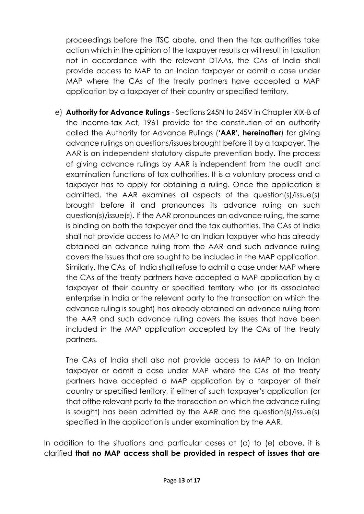proceedings before the ITSC abate, and then the tax authorities take action which in the opinion of the taxpayer results or will result in taxation not in accordance with the relevant DTAAs, the CAs of India shall provide access to MAP to an Indian taxpayer or admit a case under MAP where the CAs of the treaty partners have accepted a MAP application by a taxpayer of their country or specified territory.

e) **Authority for Advance Rulings** - Sections 245N to 245V in Chapter XIX-B of the Income-tax Act, 1961 provide for the constitution of an authority called the Authority for Advance Rulings (**'AAR', hereinafter**) for giving advance rulings on questions/issues brought before it by a taxpayer. The AAR is an independent statutory dispute prevention body. The process of giving advance rulings by AAR is independent from the audit and examination functions of tax authorities. It is a voluntary process and a taxpayer has to apply for obtaining a ruling. Once the application is admitted, the AAR examines all aspects of the question(s)/issue(s) brought before it and pronounces its advance ruling on such question(s)/issue(s). If the AAR pronounces an advance ruling, the same is binding on both the taxpayer and the tax authorities. The CAs of India shall not provide access to MAP to an Indian taxpayer who has already obtained an advance ruling from the AAR and such advance ruling covers the issues that are sought to be included in the MAP application. Similarly, the CAs of India shall refuse to admit a case under MAP where the CAs of the treaty partners have accepted a MAP application by a taxpayer of their country or specified territory who (or its associated enterprise in India or the relevant party to the transaction on which the advance ruling is sought) has already obtained an advance ruling from the AAR and such advance ruling covers the issues that have been included in the MAP application accepted by the CAs of the treaty partners.

The CAs of India shall also not provide access to MAP to an Indian taxpayer or admit a case under MAP where the CAs of the treaty partners have accepted a MAP application by a taxpayer of their country or specified territory, if either of such taxpayer's application (or that ofthe relevant party to the transaction on which the advance ruling is sought) has been admitted by the AAR and the question(s)/issue(s) specified in the application is under examination by the AAR.

In addition to the situations and particular cases at (a) to (e) above, it is clarified **that no MAP access shall be provided in respect of issues that are**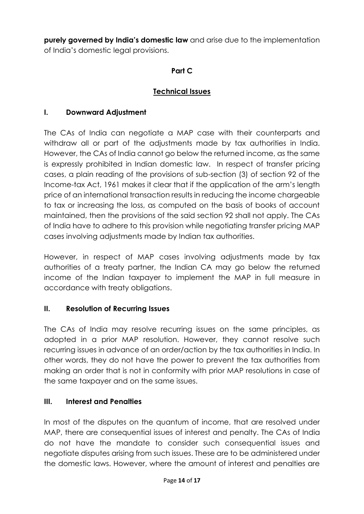**purely governed by India's domestic law** and arise due to the implementation of India's domestic legal provisions.

## **Part C**

## **Technical Issues**

## **I. Downward Adjustment**

The CAs of India can negotiate a MAP case with their counterparts and withdraw all or part of the adjustments made by tax authorities in India. However, the CAs of India cannot go below the returned income, as the same is expressly prohibited in Indian domestic law. In respect of transfer pricing cases, a plain reading of the provisions of sub-section (3) of section 92 of the Income-tax Act, 1961 makes it clear that if the application of the arm's length price of an international transaction results in reducing the income chargeable to tax or increasing the loss, as computed on the basis of books of account maintained, then the provisions of the said section 92 shall not apply. The CAs of India have to adhere to this provision while negotiating transfer pricing MAP cases involving adjustments made by Indian tax authorities.

However, in respect of MAP cases involving adjustments made by tax authorities of a treaty partner, the Indian CA may go below the returned income of the Indian taxpayer to implement the MAP in full measure in accordance with treaty obligations.

#### **II. Resolution of Recurring Issues**

The CAs of India may resolve recurring issues on the same principles, as adopted in a prior MAP resolution. However, they cannot resolve such recurring issues in advance of an order/action by the tax authorities in India. In other words, they do not have the power to prevent the tax authorities from making an order that is not in conformity with prior MAP resolutions in case of the same taxpayer and on the same issues.

## **III. Interest and Penalties**

In most of the disputes on the quantum of income, that are resolved under MAP, there are consequential issues of interest and penalty. The CAs of India do not have the mandate to consider such consequential issues and negotiate disputes arising from such issues. These are to be administered under the domestic laws. However, where the amount of interest and penalties are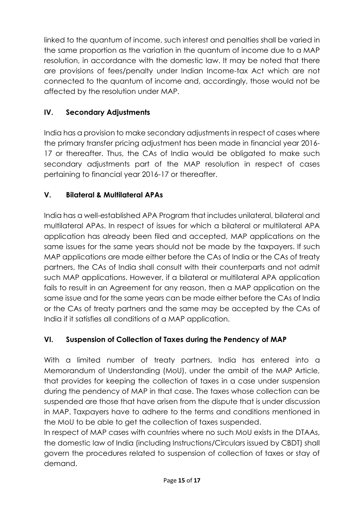linked to the quantum of income, such interest and penalties shall be varied in the same proportion as the variation in the quantum of income due to a MAP resolution, in accordance with the domestic law. It may be noted that there are provisions of fees/penalty under Indian Income-tax Act which are not connected to the quantum of income and, accordingly, those would not be affected by the resolution under MAP.

# **IV. Secondary Adjustments**

India has a provision to make secondary adjustments in respect of cases where the primary transfer pricing adjustment has been made in financial year 2016- 17 or thereafter. Thus, the CAs of India would be obligated to make such secondary adjustments part of the MAP resolution in respect of cases pertaining to financial year 2016-17 or thereafter.

# **V. Bilateral & Multilateral APAs**

India has a well-established APA Program that includes unilateral, bilateral and multilateral APAs. In respect of issues for which a bilateral or multilateral APA application has already been filed and accepted, MAP applications on the same issues for the same years should not be made by the taxpayers. If such MAP applications are made either before the CAs of India or the CAs of treaty partners, the CAs of India shall consult with their counterparts and not admit such MAP applications. However, if a bilateral or multilateral APA application fails to result in an Agreement for any reason, then a MAP application on the same issue and for the same years can be made either before the CAs of India or the CAs of treaty partners and the same may be accepted by the CAs of India if it satisfies all conditions of a MAP application.

# **VI. Suspension of Collection of Taxes during the Pendency of MAP**

With a limited number of treaty partners, India has entered into a Memorandum of Understanding (MoU), under the ambit of the MAP Article, that provides for keeping the collection of taxes in a case under suspension during the pendency of MAP in that case. The taxes whose collection can be suspended are those that have arisen from the dispute that is under discussion in MAP. Taxpayers have to adhere to the terms and conditions mentioned in the MoU to be able to get the collection of taxes suspended.

In respect of MAP cases with countries where no such MoU exists in the DTAAs, the domestic law of India (including Instructions/Circulars issued by CBDT) shall govern the procedures related to suspension of collection of taxes or stay of demand.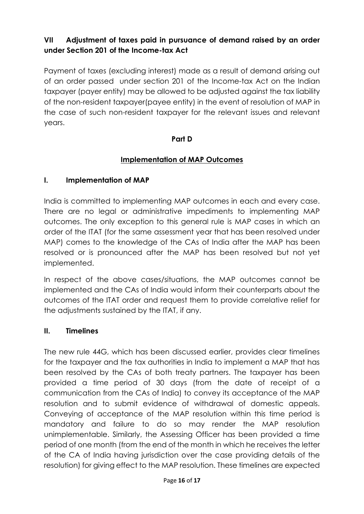# **VII Adjustment of taxes paid in pursuance of demand raised by an order under Section 201 of the Income-tax Act**

Payment of taxes (excluding interest) made as a result of demand arising out of an order passed under section 201 of the Income-tax Act on the Indian taxpayer (payer entity) may be allowed to be adjusted against the tax liability of the non-resident taxpayer(payee entity) in the event of resolution of MAP in the case of such non-resident taxpayer for the relevant issues and relevant years.

#### **Part D**

#### **Implementation of MAP Outcomes**

#### **I. Implementation of MAP**

India is committed to implementing MAP outcomes in each and every case. There are no legal or administrative impediments to implementing MAP outcomes. The only exception to this general rule is MAP cases in which an order of the ITAT (for the same assessment year that has been resolved under MAP) comes to the knowledge of the CAs of India after the MAP has been resolved or is pronounced after the MAP has been resolved but not yet implemented.

In respect of the above cases/situations, the MAP outcomes cannot be implemented and the CAs of India would inform their counterparts about the outcomes of the ITAT order and request them to provide correlative relief for the adjustments sustained by the ITAT, if any.

#### **II. Timelines**

The new rule 44G, which has been discussed earlier, provides clear timelines for the taxpayer and the tax authorities in India to implement a MAP that has been resolved by the CAs of both treaty partners. The taxpayer has been provided a time period of 30 days (from the date of receipt of a communication from the CAs of India) to convey its acceptance of the MAP resolution and to submit evidence of withdrawal of domestic appeals. Conveying of acceptance of the MAP resolution within this time period is mandatory and failure to do so may render the MAP resolution unimplementable. Similarly, the Assessing Officer has been provided a time period of one month (from the end of the month in which he receives the letter of the CA of India having jurisdiction over the case providing details of the resolution) for giving effect to the MAP resolution. These timelines are expected